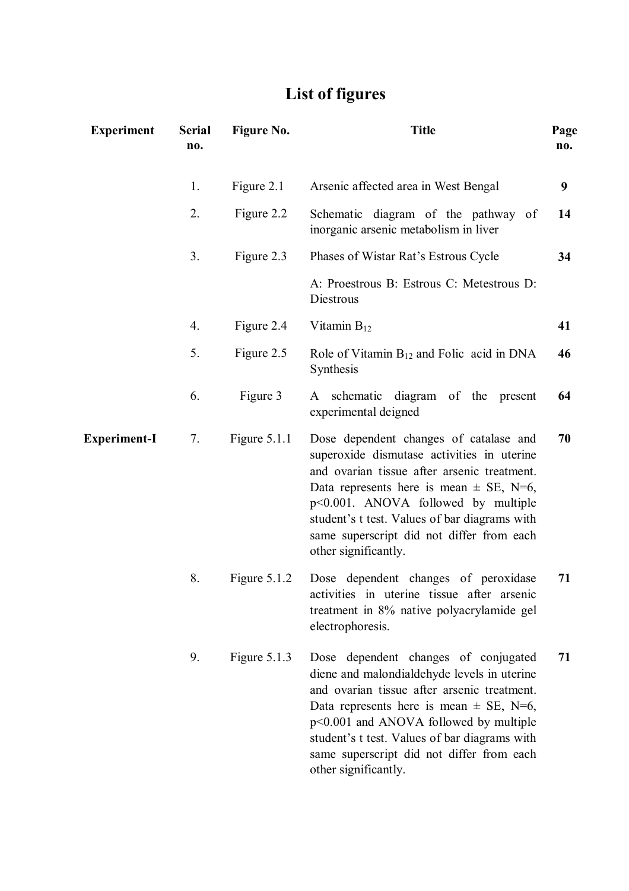## **List of figures**

| <b>Experiment</b>   | <b>Serial</b><br>no. | Figure No.     | <b>Title</b>                                                                                                                                                                                                                                                                                                                                        | Page<br>no. |
|---------------------|----------------------|----------------|-----------------------------------------------------------------------------------------------------------------------------------------------------------------------------------------------------------------------------------------------------------------------------------------------------------------------------------------------------|-------------|
|                     | 1.                   | Figure 2.1     | Arsenic affected area in West Bengal                                                                                                                                                                                                                                                                                                                | 9           |
|                     | 2.                   | Figure 2.2     | Schematic diagram of the pathway of<br>inorganic arsenic metabolism in liver                                                                                                                                                                                                                                                                        | 14          |
|                     | 3.                   | Figure 2.3     | Phases of Wistar Rat's Estrous Cycle                                                                                                                                                                                                                                                                                                                | 34          |
|                     |                      |                | A: Proestrous B: Estrous C: Metestrous D:<br>Diestrous                                                                                                                                                                                                                                                                                              |             |
|                     | $\mathbf{4}$ .       | Figure 2.4     | Vitamin $B_{12}$                                                                                                                                                                                                                                                                                                                                    | 41          |
|                     | 5.                   | Figure 2.5     | Role of Vitamin $B_{12}$ and Folic acid in DNA<br>Synthesis                                                                                                                                                                                                                                                                                         | 46          |
|                     | 6.                   | Figure 3       | schematic diagram of the present<br>A<br>experimental deigned                                                                                                                                                                                                                                                                                       | 64          |
| <b>Experiment-I</b> | 7.                   | Figure $5.1.1$ | Dose dependent changes of catalase and<br>superoxide dismutase activities in uterine<br>and ovarian tissue after arsenic treatment.<br>Data represents here is mean $\pm$ SE, N=6,<br>$p<0.001$ . ANOVA followed by multiple<br>student's t test. Values of bar diagrams with<br>same superscript did not differ from each<br>other significantly.  | 70          |
|                     | 8.                   | Figure 5.1.2   | Dose dependent changes of peroxidase<br>activities in uterine tissue after arsenic<br>treatment in 8% native polyacrylamide gel<br>electrophoresis.                                                                                                                                                                                                 | 71          |
|                     | 9.                   | Figure $5.1.3$ | Dose dependent changes of conjugated<br>diene and malondialdehyde levels in uterine<br>and ovarian tissue after arsenic treatment.<br>Data represents here is mean $\pm$ SE, N=6,<br>$p<0.001$ and ANOVA followed by multiple<br>student's t test. Values of bar diagrams with<br>same superscript did not differ from each<br>other significantly. | 71          |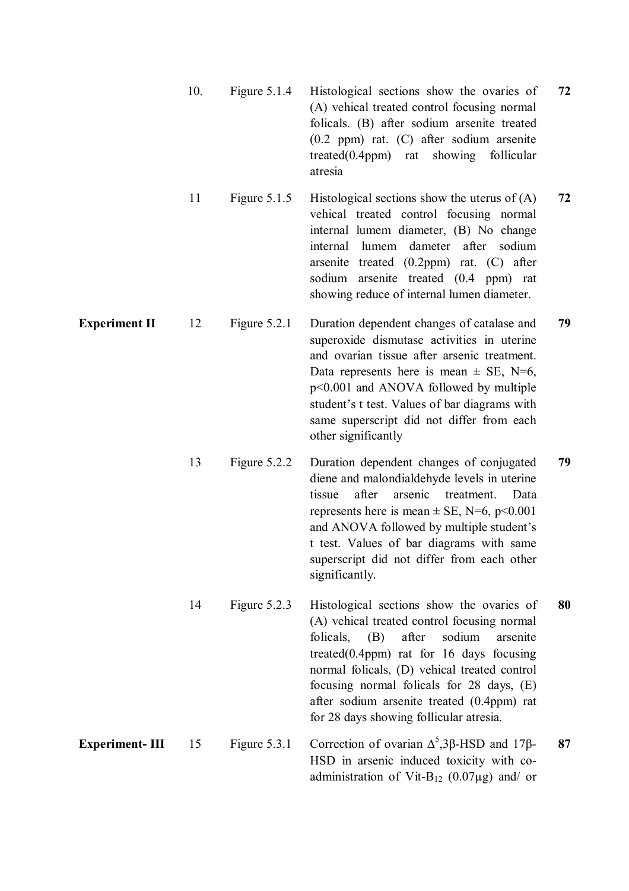|                       | 10. | Figure $5.1.4$ | Histological sections show the ovaries of<br>(A) vehical treated control focusing normal<br>folicals. (B) after sodium arsenite treated<br>$(0.2$ ppm) rat. $(C)$ after sodium arsenite<br>$treated(0.4ppm)$ rat<br>showing<br>follicular<br>atresia                                                                                                                              | 72 |
|-----------------------|-----|----------------|-----------------------------------------------------------------------------------------------------------------------------------------------------------------------------------------------------------------------------------------------------------------------------------------------------------------------------------------------------------------------------------|----|
|                       | 11  | Figure $5.1.5$ | Histological sections show the uterus of $(A)$<br>vehical treated control focusing normal<br>internal lumem diameter, (B) No change<br>dameter after sodium<br>internal lumem<br>arsenite treated $(0.2$ ppm) rat. $(C)$ after<br>sodium arsenite treated (0.4 ppm) rat<br>showing reduce of internal lumen diameter.                                                             | 72 |
| <b>Experiment II</b>  | 12  | Figure 5.2.1   | Duration dependent changes of catalase and<br>superoxide dismutase activities in uterine<br>and ovarian tissue after arsenic treatment.<br>Data represents here is mean $\pm$ SE, N=6,<br>$p<0.001$ and ANOVA followed by multiple<br>student's t test. Values of bar diagrams with<br>same superscript did not differ from each<br>other significantly                           | 79 |
|                       | 13  | Figure 5.2.2   | Duration dependent changes of conjugated<br>diene and malondialdehyde levels in uterine<br>after<br>arsenic<br>treatment.<br>tissue<br>Data<br>represents here is mean $\pm$ SE, N=6, p<0.001<br>and ANOVA followed by multiple student's<br>t test. Values of bar diagrams with same<br>superscript did not differ from each other<br>significantly.                             | 79 |
|                       | 14  | Figure $5.2.3$ | Histological sections show the ovaries of<br>(A) vehical treated control focusing normal<br>after<br>sodium<br>folicals,<br>(B)<br>arsenite<br>treated $(0.4$ ppm) rat for 16 days focusing<br>normal folicals, (D) vehical treated control<br>focusing normal folicals for 28 days, (E)<br>after sodium arsenite treated (0.4ppm) rat<br>for 28 days showing follicular atresia. | 80 |
| <b>Experiment-III</b> | 15  | Figure 5.3.1   | Correction of ovarian $\Delta^5$ , 3 $\beta$ -HSD and 17 $\beta$ -<br>HSD in arsenic induced toxicity with co-<br>administration of Vit-B <sub>12</sub> (0.07 $\mu$ g) and/ or                                                                                                                                                                                                    | 87 |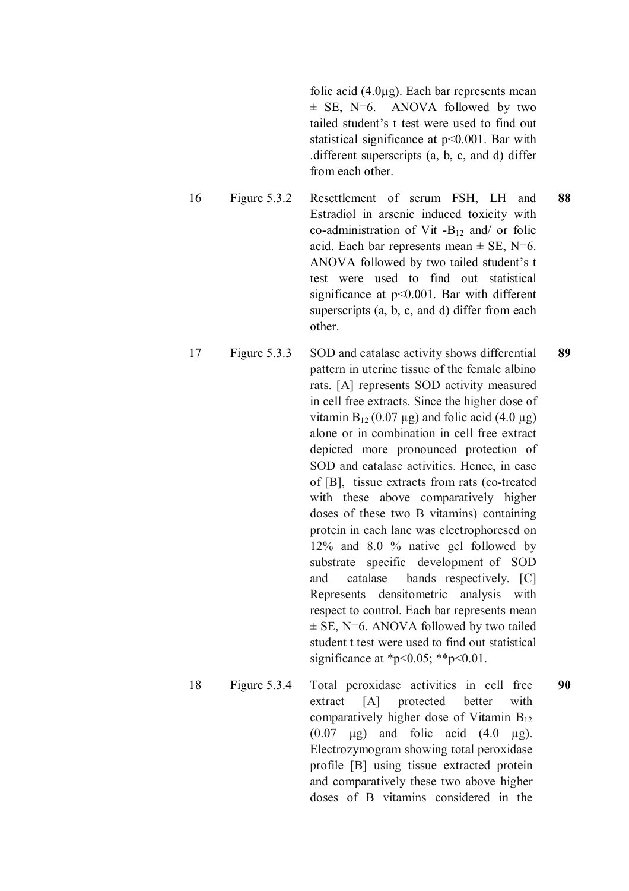folic acid (4.0µg). Each bar represents mean  $\pm$  SE, N=6. ANOVA followed by two tailed student's t test were used to find out statistical significance at p<0.001. Bar with .different superscripts (a, b, c, and d) differ from each other.

- 16 Figure 5.3.2 Resettlement of serum FSH, LH and Estradiol in arsenic induced toxicity with co-administration of Vit  $-B_{12}$  and/ or folic acid. Each bar represents mean  $\pm$  SE, N=6. ANOVA followed by two tailed student's t test were used to find out statistical significance at p<0.001. Bar with different superscripts (a, b, c, and d) differ from each other. **88**
- 17 Figure 5.3.3 SOD and catalase activity shows differential pattern in uterine tissue of the female albino rats. [A] represents SOD activity measured in cell free extracts. Since the higher dose of vitamin  $B_{12}$  (0.07 µg) and folic acid (4.0 µg) alone or in combination in cell free extract depicted more pronounced protection of SOD and catalase activities. Hence, in case of [B], tissue extracts from rats (co-treated with these above comparatively higher doses of these two B vitamins) containing protein in each lane was electrophoresed on 12% and 8.0 % native gel followed by substrate specific development of SOD and catalase bands respectively. [C] Represents densitometric analysis with respect to control. Each bar represents mean  $\pm$  SE, N=6. ANOVA followed by two tailed student t test were used to find out statistical significance at \*p<0.05; \*\*p<0.01. **89**
- 18 Figure 5.3.4 Total peroxidase activities in cell free extract [A] protected better with comparatively higher dose of Vitamin  $B_{12}$  $(0.07 \text{ µg})$  and folic acid  $(4.0 \text{ µg})$ . Electrozymogram showing total peroxidase profile [B] using tissue extracted protein and comparatively these two above higher doses of B vitamins considered in the **90**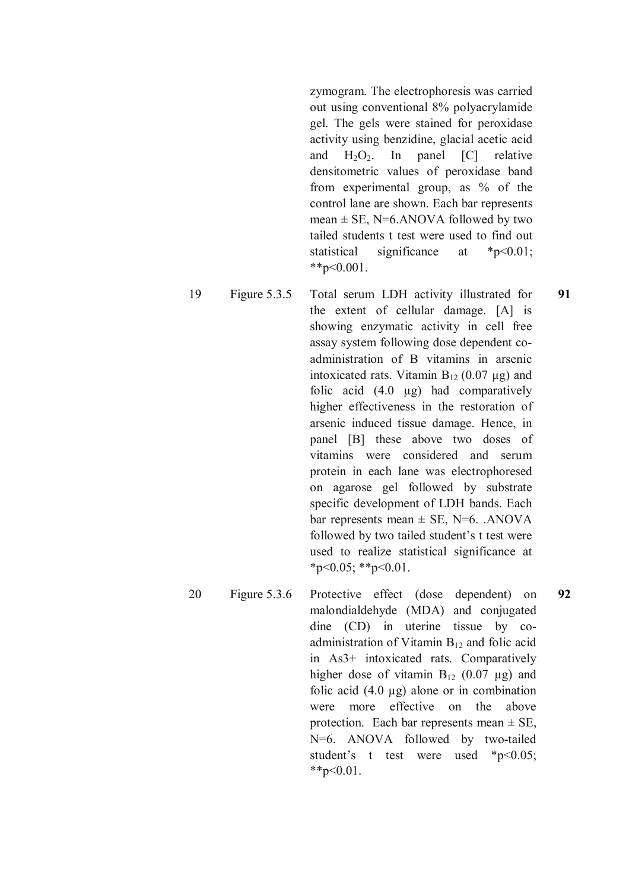zymogram. The electrophoresis was carried out using conventional 8% polyacrylamide gel. The gels were stained for peroxidase activity using benzidine, glacial acetic acid and  $H_2O_2$ . In panel  $[C]$  relative densitometric values of peroxidase band from experimental group, as % of the control lane are shown. Each bar represents mean  $\pm$  SE, N=6.ANOVA followed by two tailed students t test were used to find out statistical significance at \*p<0.01;  $*$  $p<0.001$ .

- 19 Figure 5.3.5 Total serum LDH activity illustrated for the extent of cellular damage. [A] is showing enzymatic activity in cell free assay system following dose dependent coadministration of B vitamins in arsenic intoxicated rats. Vitamin  $B_{12}$  (0.07  $\mu$ g) and folic acid  $(4.0 \mu g)$  had comparatively higher effectiveness in the restoration of arsenic induced tissue damage. Hence, in panel [B] these above two doses of vitamins were considered and serum protein in each lane was electrophoresed on agarose gel followed by substrate specific development of LDH bands. Each bar represents mean  $\pm$  SE, N=6. .ANOVA followed by two tailed student's t test were used to realize statistical significance at  $*_{p<0.05}$ ;  $*_{p<0.01}$ . **91**
- 20 Figure 5.3.6 Protective effect (dose dependent) on malondialdehyde (MDA) and conjugated dine (CD) in uterine tissue by coadministration of Vitamin  $B_{12}$  and folic acid in As3+ intoxicated rats. Comparatively higher dose of vitamin  $B_{12}$  (0.07 µg) and folic acid (4.0 µg) alone or in combination were more effective on the above protection. Each bar represents mean  $\pm$  SE, N=6. ANOVA followed by two-tailed student's t test were used \*p<0.05;  $*$  $p<0.01$ . **92**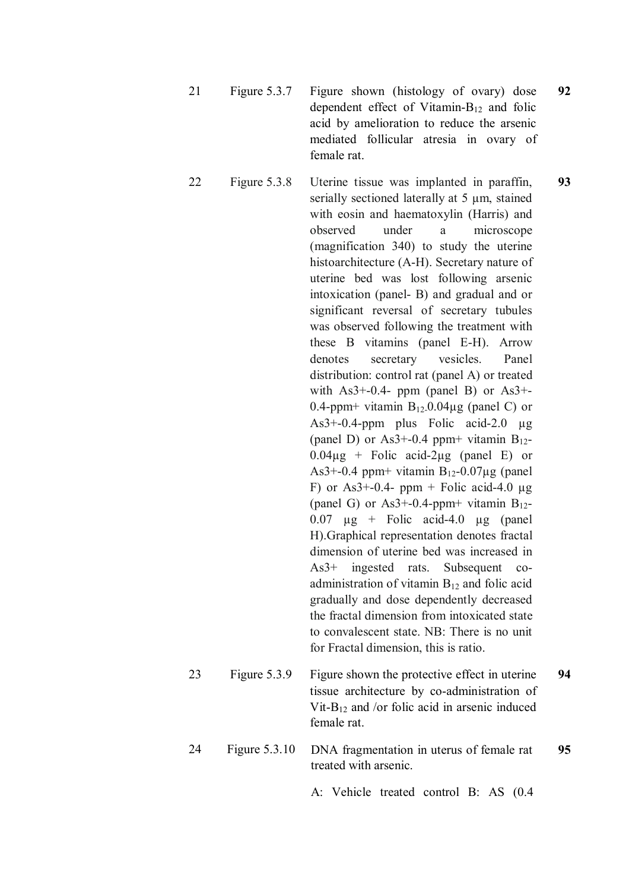- 21 Figure 5.3.7 Figure shown (histology of ovary) dose dependent effect of Vitamin-B<sup>12</sup> and folic acid by amelioration to reduce the arsenic mediated follicular atresia in ovary of female rat. **92**
- 22 Figure 5.3.8 Uterine tissue was implanted in paraffin, serially sectioned laterally at 5 um, stained with eosin and haematoxylin (Harris) and observed under a microscope (magnification 340) to study the uterine histoarchitecture (A-H). Secretary nature of uterine bed was lost following arsenic intoxication (panel- B) and gradual and or significant reversal of secretary tubules was observed following the treatment with these B vitamins (panel E-H). Arrow denotes secretary vesicles. Panel distribution: control rat (panel A) or treated with  $As3+-0.4-$  ppm (panel B) or  $As3+-$ 0.4-ppm+ vitamin  $B_{12}$ -0.04 $\mu$ g (panel C) or  $As3+-0.4-ppm$  plus Folic acid-2.0 µg (panel D) or As3+-0.4 ppm+ vitamin  $B_{12}$ - $0.04\mu$ g + Folic acid-2 $\mu$ g (panel E) or As3+-0.4 ppm+ vitamin  $B_{12}$ -0.07 $\mu$ g (panel F) or As3+-0.4- ppm + Folic acid-4.0  $\mu$ g (panel G) or As3+-0.4-ppm+ vitamin  $B_{12}$ - $0.07 \text{ µg} + \text{Folic acid-4.0 µg}$  (panel H).Graphical representation denotes fractal dimension of uterine bed was increased in As3+ ingested rats. Subsequent coadministration of vitamin  $B_{12}$  and folic acid gradually and dose dependently decreased the fractal dimension from intoxicated state to convalescent state. NB: There is no unit for Fractal dimension, this is ratio. **93** 23 Figure 5.3.9 Figure shown the protective effect in uterine **94**
- tissue architecture by co-administration of Vit-B<sub>12</sub> and /or folic acid in arsenic induced female rat.
- 24 Figure 5.3.10 DNA fragmentation in uterus of female rat treated with arsenic. **95**

A: Vehicle treated control B: AS (0.4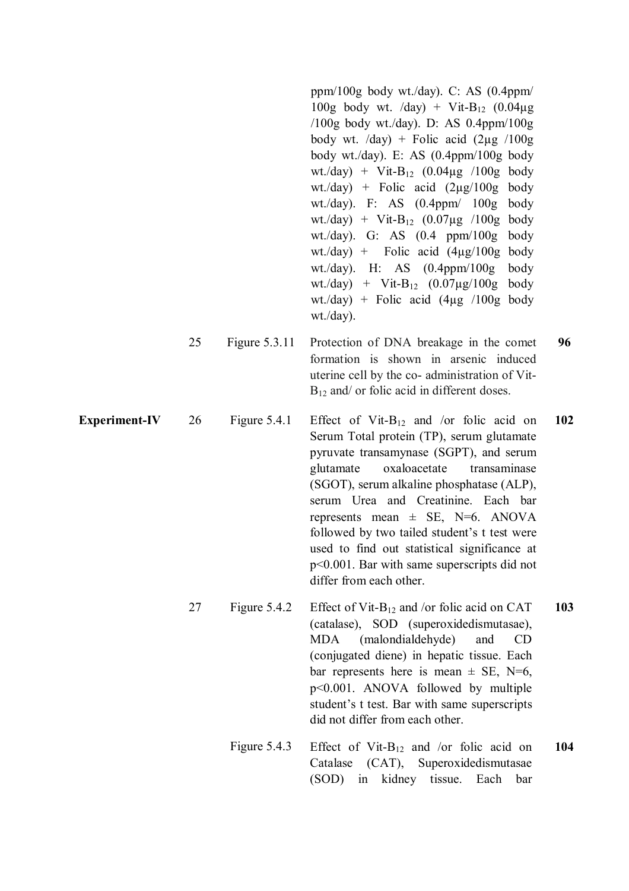|                      |    |               | ppm/100g body wt./day). C: AS $(0.4$ ppm/<br>100g body wt. /day) + Vit-B <sub>12</sub> $(0.04\mu g)$<br>/100g body wt./day). D: AS $0.4$ ppm/100g<br>body wt. $\langle$ day) + Folic acid $(2\mu g / 100g)$<br>body wt./day). E: AS (0.4ppm/100g body<br>wt./day) + Vit-B <sub>12</sub> $(0.04\mu g$ /100g body<br>wt./day) + Folic acid $(2\mu g/100g$<br>body<br>wt./day). F: AS $(0.4$ ppm/ $100g$<br>body<br>wt./day) + Vit-B <sub>12</sub> $(0.07\mu g$ /100g body<br>wt./day). G: AS $(0.4 \text{ ppm}/100 \text{g})$<br>body<br>wt./day) + Folic acid $(4\mu g/100g)$<br>body<br>wt./day). H: AS $(0.4$ ppm/100g<br>body<br>wt./day) + Vit-B <sub>12</sub> $(0.07 \mu g/100g)$<br>body<br>wt./day) + Folic acid $(4\mu g$ /100g body<br>$wt$ ./day). |     |
|----------------------|----|---------------|-------------------------------------------------------------------------------------------------------------------------------------------------------------------------------------------------------------------------------------------------------------------------------------------------------------------------------------------------------------------------------------------------------------------------------------------------------------------------------------------------------------------------------------------------------------------------------------------------------------------------------------------------------------------------------------------------------------------------------------------------------------|-----|
|                      | 25 | Figure 5.3.11 | Protection of DNA breakage in the comet<br>formation is shown in arsenic induced<br>uterine cell by the co- administration of Vit-<br>$B_{12}$ and/ or folic acid in different doses.                                                                                                                                                                                                                                                                                                                                                                                                                                                                                                                                                                       | 96  |
| <b>Experiment-IV</b> | 26 | Figure 5.4.1  | Effect of Vit-B <sub>12</sub> and /or folic acid on<br>Serum Total protein (TP), serum glutamate<br>pyruvate transamynase (SGPT), and serum<br>oxaloacetate<br>transaminase<br>glutamate<br>(SGOT), serum alkaline phosphatase (ALP),<br>serum Urea and Creatinine. Each bar<br>represents mean $\pm$ SE, N=6. ANOVA<br>followed by two tailed student's t test were<br>used to find out statistical significance at<br>$p<0.001$ . Bar with same superscripts did not<br>differ from each other.                                                                                                                                                                                                                                                           | 102 |
|                      | 27 | Figure 5.4.2  | Effect of Vit- $B_{12}$ and /or folic acid on CAT<br>(catalase), SOD (superoxidedismutasae),<br>(malondialdehyde)<br><b>MDA</b><br>and<br><b>CD</b><br>(conjugated diene) in hepatic tissue. Each<br>bar represents here is mean $\pm$ SE, N=6,<br>$p<0.001$ . ANOVA followed by multiple<br>student's t test. Bar with same superscripts<br>did not differ from each other.                                                                                                                                                                                                                                                                                                                                                                                | 103 |
|                      |    | Figure 5.4.3  | Effect of Vit- $B_{12}$ and /or folic acid on<br>Catalase<br>$(CAT)$ ,<br>Superoxidedismutasae<br>(SOD)<br>kidney tissue.<br>Each<br>bar<br>in                                                                                                                                                                                                                                                                                                                                                                                                                                                                                                                                                                                                              | 104 |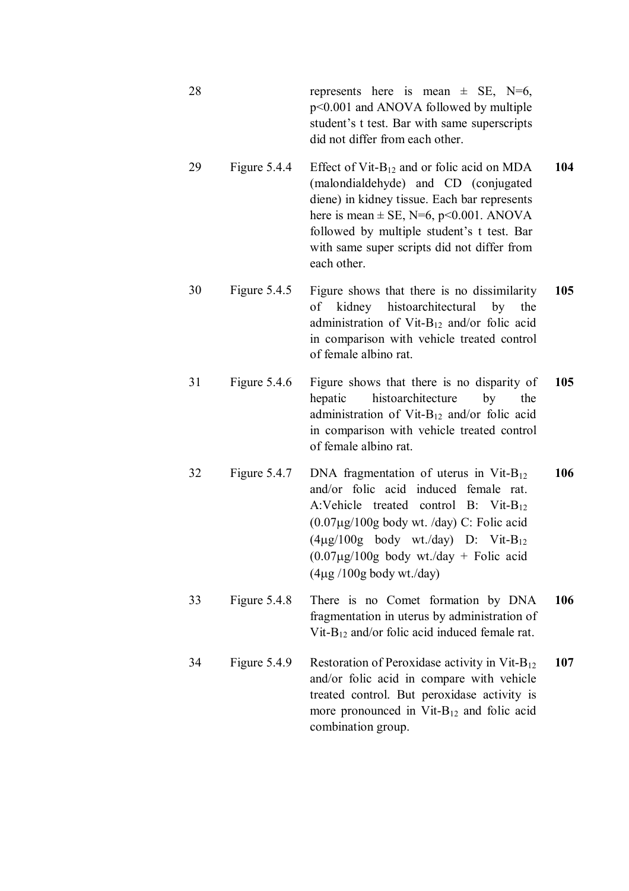- 28 represents here is mean  $\pm$  SE, N=6, p<0.001 and ANOVA followed by multiple student's t test. Bar with same superscripts did not differ from each other.
- 29 Figure 5.4.4 Effect of Vit-B<sub>12</sub> and or folic acid on MDA (malondialdehyde) and CD (conjugated diene) in kidney tissue. Each bar represents here is mean  $\pm$  SE, N=6, p<0.001. ANOVA followed by multiple student's t test. Bar with same super scripts did not differ from each other. **104**
- 30 Figure 5.4.5 Figure shows that there is no dissimilarity of kidney histoarchitectural by the administration of Vit- $B_{12}$  and/or folic acid in comparison with vehicle treated control of female albino rat. **105**
- 31 Figure 5.4.6 Figure shows that there is no disparity of hepatic histoarchitecture by the administration of Vit-B<sub>12</sub> and/or folic acid in comparison with vehicle treated control of female albino rat. **105**
- 32 Figure 5.4.7 DNA fragmentation of uterus in Vit-B<sub>12</sub> and/or folic acid induced female rat. A:Vehicle treated control B: Vit-B<sub>12</sub>  $(0.07\mu g/100g$  body wt. /day) C: Folic acid  $(4\mu g/100g$  body wt./day) D: Vit-B<sub>12</sub>  $(0.07\mu g/100g$  body wt./day + Folic acid  $(4\mu g / 100g$  body wt./day) **106**
- 33 Figure 5.4.8 There is no Comet formation by DNA fragmentation in uterus by administration of Vit- $B_{12}$  and/or folic acid induced female rat. **106**
- 34 Figure 5.4.9 Restoration of Peroxidase activity in Vit-B<sub>12</sub> and/or folic acid in compare with vehicle treated control. But peroxidase activity is more pronounced in Vit- $B_{12}$  and folic acid combination group. **107**